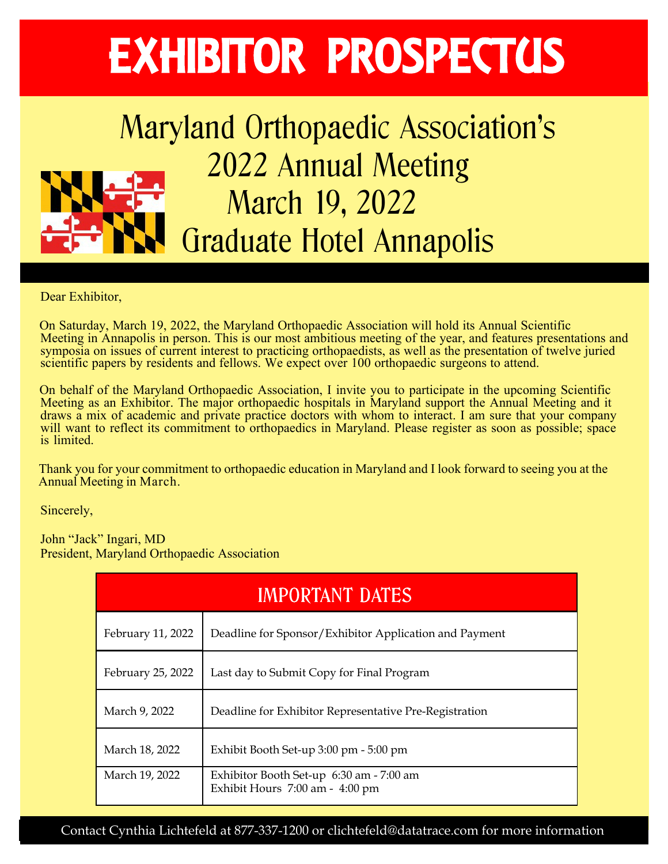## EXHIBITOR PROSPECTUS

## Maryland Orthopaedic Association's 2022 Annual Meeting March 19, 2022 Graduate Hotel Annapolis

Dear Exhibitor,

On Saturday, March 19, 2022, the Maryland Orthopaedic Association will hold its Annual Scientific Meeting in Annapolis in person. This is our most ambitious meeting of the year, and features presentations and symposia on issues of current interest to practicing orthopaedists, as well as the presentation of twelve juried sympton on issues or carrent mereot to practicing orthopaedics, as well as the presentation or scientific papers by residents and fellows. We expect over 100 orthopaedic surgeons to attend.

On behalf of the Maryland Orthopaedic Association, I invite you to participate in the upcoming Scientific Meeting as an Exhibitor. The major orthopaedic hospitals in Maryland support the Annual Meeting and it draws a mix of academic and private practice doctors with whom to interact. I am sure that your company will want to reflect its commitment to orthopaedics in Maryland. Please register as soon as possible; space is limited.

Thank you for your commitment to orthopaedic education in Maryland and I look forward to seeing you at the Annual Meeting in March.

Sincerely,

John "Jack" Ingari, MD President, Maryland Orthopaedic Association

| <b>IMPORTANT DATES</b> |                                                                             |  |  |  |  |
|------------------------|-----------------------------------------------------------------------------|--|--|--|--|
| February 11, 2022      | Deadline for Sponsor/Exhibitor Application and Payment                      |  |  |  |  |
| February 25, 2022      | Last day to Submit Copy for Final Program                                   |  |  |  |  |
| March 9, 2022          | Deadline for Exhibitor Representative Pre-Registration                      |  |  |  |  |
| March 18, 2022         | Exhibit Booth Set-up 3:00 pm - 5:00 pm                                      |  |  |  |  |
| March 19, 2022         | Exhibitor Booth Set-up 6:30 am - 7:00 am<br>Exhibit Hours 7:00 am - 4:00 pm |  |  |  |  |

Contact Cynthia Lichtefeld at 877-337-1200 or clichtefeld@datatrace.com for more information